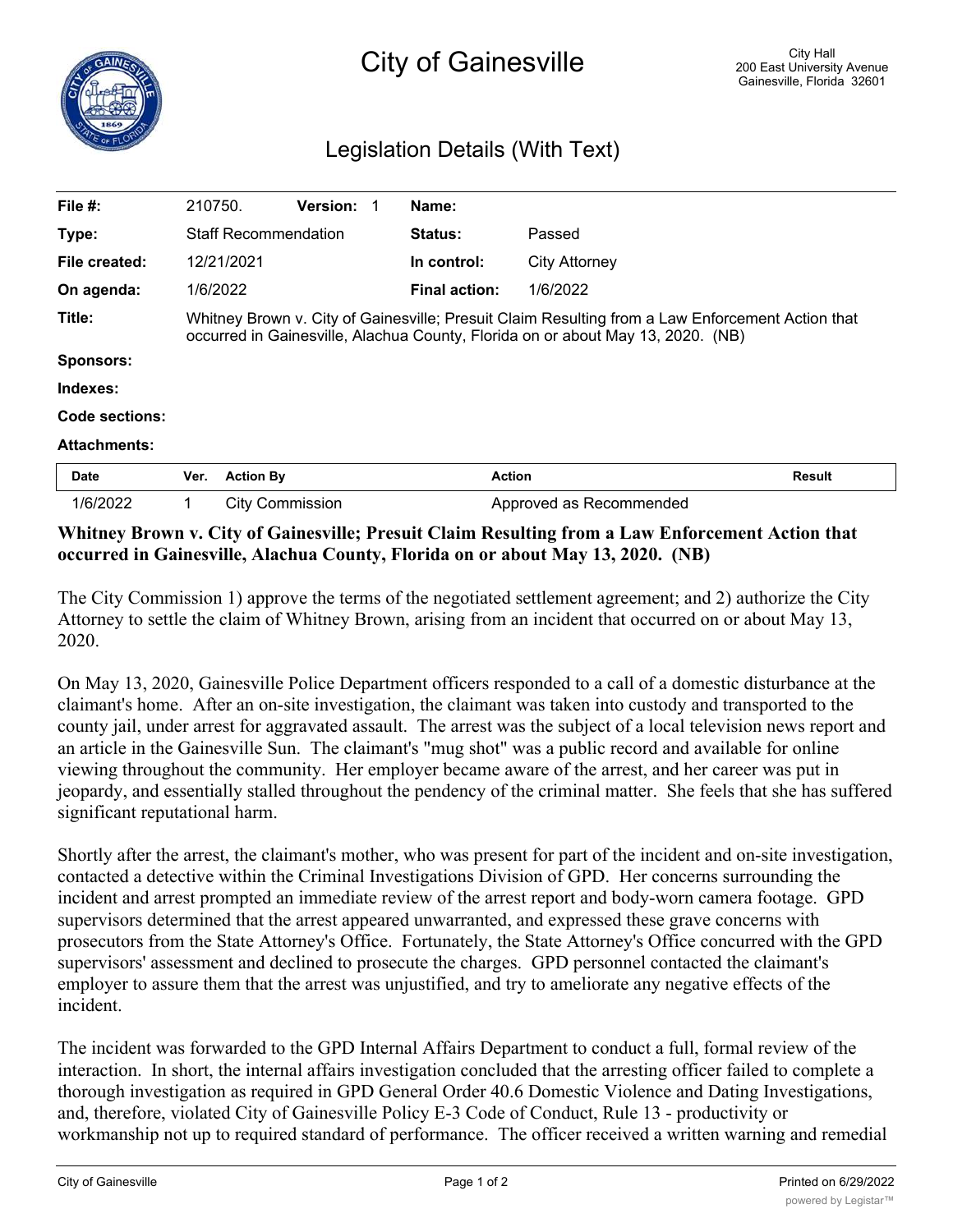## Legislation Details (With Text)

| File $#$ :          |      | 210750.                                                                                                                                                                             | <b>Version:</b>        |  | Name:          |                         |               |  |
|---------------------|------|-------------------------------------------------------------------------------------------------------------------------------------------------------------------------------------|------------------------|--|----------------|-------------------------|---------------|--|
| Type:               |      | <b>Staff Recommendation</b>                                                                                                                                                         |                        |  | <b>Status:</b> | Passed                  |               |  |
| File created:       |      | 12/21/2021                                                                                                                                                                          |                        |  | In control:    | <b>City Attorney</b>    |               |  |
| On agenda:          |      | 1/6/2022                                                                                                                                                                            |                        |  | Final action:  | 1/6/2022                |               |  |
| Title:              |      | Whitney Brown v. City of Gainesville; Presuit Claim Resulting from a Law Enforcement Action that<br>occurred in Gainesville, Alachua County, Florida on or about May 13, 2020. (NB) |                        |  |                |                         |               |  |
| <b>Sponsors:</b>    |      |                                                                                                                                                                                     |                        |  |                |                         |               |  |
| Indexes:            |      |                                                                                                                                                                                     |                        |  |                |                         |               |  |
| Code sections:      |      |                                                                                                                                                                                     |                        |  |                |                         |               |  |
| <b>Attachments:</b> |      |                                                                                                                                                                                     |                        |  |                |                         |               |  |
| Date                | Ver. | <b>Action By</b>                                                                                                                                                                    |                        |  |                | <b>Action</b>           | <b>Result</b> |  |
| 1/6/2022            | 1    |                                                                                                                                                                                     | <b>City Commission</b> |  |                | Approved as Recommended |               |  |

## **Whitney Brown v. City of Gainesville; Presuit Claim Resulting from a Law Enforcement Action that occurred in Gainesville, Alachua County, Florida on or about May 13, 2020. (NB)**

The City Commission 1) approve the terms of the negotiated settlement agreement; and 2) authorize the City Attorney to settle the claim of Whitney Brown, arising from an incident that occurred on or about May 13, 2020.

On May 13, 2020, Gainesville Police Department officers responded to a call of a domestic disturbance at the claimant's home. After an on-site investigation, the claimant was taken into custody and transported to the county jail, under arrest for aggravated assault. The arrest was the subject of a local television news report and an article in the Gainesville Sun. The claimant's "mug shot" was a public record and available for online viewing throughout the community. Her employer became aware of the arrest, and her career was put in jeopardy, and essentially stalled throughout the pendency of the criminal matter. She feels that she has suffered significant reputational harm.

Shortly after the arrest, the claimant's mother, who was present for part of the incident and on-site investigation, contacted a detective within the Criminal Investigations Division of GPD. Her concerns surrounding the incident and arrest prompted an immediate review of the arrest report and body-worn camera footage. GPD supervisors determined that the arrest appeared unwarranted, and expressed these grave concerns with prosecutors from the State Attorney's Office. Fortunately, the State Attorney's Office concurred with the GPD supervisors' assessment and declined to prosecute the charges. GPD personnel contacted the claimant's employer to assure them that the arrest was unjustified, and try to ameliorate any negative effects of the incident.

The incident was forwarded to the GPD Internal Affairs Department to conduct a full, formal review of the interaction. In short, the internal affairs investigation concluded that the arresting officer failed to complete a thorough investigation as required in GPD General Order 40.6 Domestic Violence and Dating Investigations, and, therefore, violated City of Gainesville Policy E-3 Code of Conduct, Rule 13 - productivity or workmanship not up to required standard of performance. The officer received a written warning and remedial